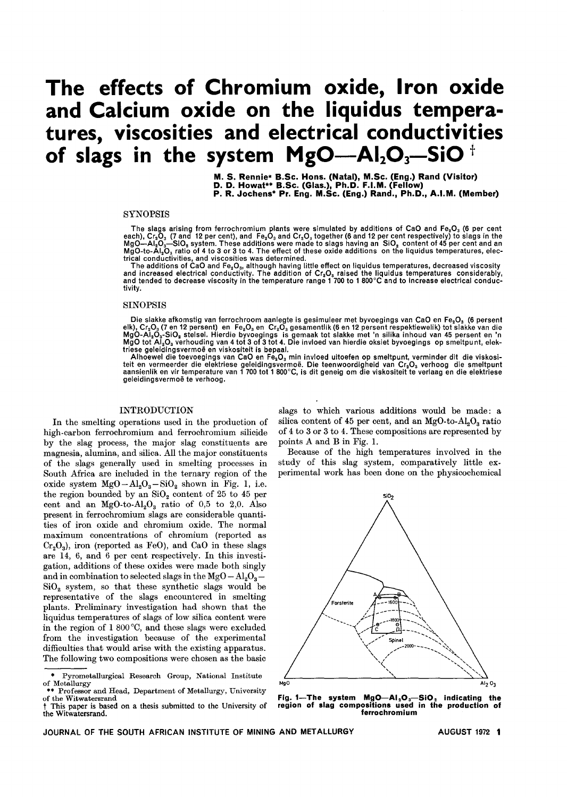# **The effects of Chromium oxide, Iron oxide and Calcium oxide on the liquidus temperatures, viscosities and electrical conductivities of slags in the system MgO-AI2O3-SiO t**

M. S. Rennie\* B.Se. Hons. (Natal), M.Se. (Eng.) Rand (Visitor) D. D. Howat\*\* B.Se. (Glas.), Ph.D. F.I.M. (Fellow) P. R. Joehens\* Pr. Eng. M.Se. (Eng.) Rand., Ph.D., A.I.M. (Member)

# **SYNOPSIS**

The slags arising from ferrochromium plants were simulated by additions of CaO and Fe<sub>2</sub>O<sub>3</sub> (6 per cent respectively) to slags in the each), Cr<sub>a</sub>O<sub>3</sub> (7 and 12 per cent), and Fe<sub>2</sub>O<sub>3</sub> and Cr<sub>a</sub>O<sub>3</sub> together (6 and 12 p MgO—AI $_2$ O $_3$ —SiO $_2$  system. These additions were made to slags having an  $\,{\rm SiO}_{2} \,$  content of 45 per cent and an  $MgO$ -to- $A_1Q_3$  ratio of 4 to 3 or 3 to 4. The effect of these oxide additions on the liquidus temperatures, electrical conductivities, and viscosities was determined.

The additions of CaO and Fe. O., although having little effect on liquidus temperatures, decreased viscosity and increased electrical conductivity. The addition of Cr<sub>2</sub>O<sub>s</sub> raised the liquidus temperatures considerably<br>and tended to decrease viscosity in the temperature range 1 700 to 1 800°C and to increase electrical conduc tivity.

# SINOPSIS

Die slakke afkomstig van ferrochroom aanlegte is gesimuleer met byvoegings van CaO en Fe<sub>2</sub>O<sub>3</sub> (6 persent elk), Cr.D. (7 en 12 persent) en Fe.D. en Cr.D. gesamentlik (6 en 12 persent respektiewelik) tot slakke van die MgO-AI<sub>2</sub>O<sub>s</sub>-SiO<sub>2</sub> stelsel. Hierdie byvoegings is gemaak tot slakke met 'n silika inhoud van 45 persent en 'n<br>MgO tot AI.O<sub>s</sub> verhouding van 4 tot 3 of 3 tot 4. Die invloed van hierdie oksiet byvoegings op smeltpunt, e triese geleidingsvermoë en viskositeit is bepaal.

Alhoewel die toevoegings van CaO en Fe<sub>2</sub>O<sub>3</sub> min invloed uitoefen op smeltpunt, verminder dit die viskositeit en vermeerder die elektriese geleidingsvermoë. Die teenwoordigheid van Cr<sub>2</sub>O<sub>s</sub> verhoog die smeltpun<br>aansienlik en vir temperature van 1 700 tot 1 800°C, is dit geneig om die viskositeit te verlaag en die elektriese geleidingsvermoë te verhoog.

# INTRODUCTION

In the smelting operations used in the production of high-carbon ferrochromium and ferrochromium silicide by the slag process, the major slag constituents are magnesia, alumina, and silica. All the major constituents of the slags generally used in smelting processes in South Africa are included in the ternary region of the oxide system  $MgO-Al<sub>2</sub>O<sub>3</sub> - SiO<sub>2</sub>$  shown in Fig. 1, i.e. the region bounded by an  $SiO<sub>2</sub>$  content of 25 to 45 per cent and an  $MgO-to-Al<sub>2</sub>O<sub>3</sub>$  ratio of 0,5 to 2,0. Also present in ferrochromium slags are considerable quantities of iron oxide and chromium oxide. The normal maximum concentrations of chromium (reported as  $Cr<sub>2</sub>O<sub>3</sub>$ ), iron (reported as FeO), and CaO in these slags are 14, 6, and 6 per cent respectively. In this investigation, additions of these oxides were made both singly and in combination to selected slags in the  $MgO - Al<sub>2</sub>O<sub>3</sub>$  $SiO<sub>2</sub>$  system, so that these synthetic slags would be representative of the slags encountered in smelting plants. Preliminary investigation had shown that the liquidus temperatures of slags of low silica content were in the region of  $1\,800\,^{\circ}\text{C}$ , and these slags were excluded from the investigation because of the experimental difficulties that would arise with the existing apparatus. The following two compositions were chosen as the basic

slags to which various additions would be made: a silica content of 45 per cent, and an  $MgO$ -to- $Al_2O_3$  ratio of 4 to 3 or 3 to 4. These compositions are represented by points A and B in Fig. 1.

Because of the high temperatures involved in the study of this slag system, comparatively little experimental work has been done on the physicochemical



Fig. 1—The system MgO—AI<sub>2</sub>O<sub>3</sub>—SiO<sub>2</sub> indicating the<br>region of slag compositions used in the production of ferrochromium

 $\bullet$ Pyrometallurgical Research Group, National Institute of Metallurg

of the Witwatersra \*\* Professor and Head, Department of Metallurgy, University

This paper is based on a thesis submitted to the University of the Witwatersrand.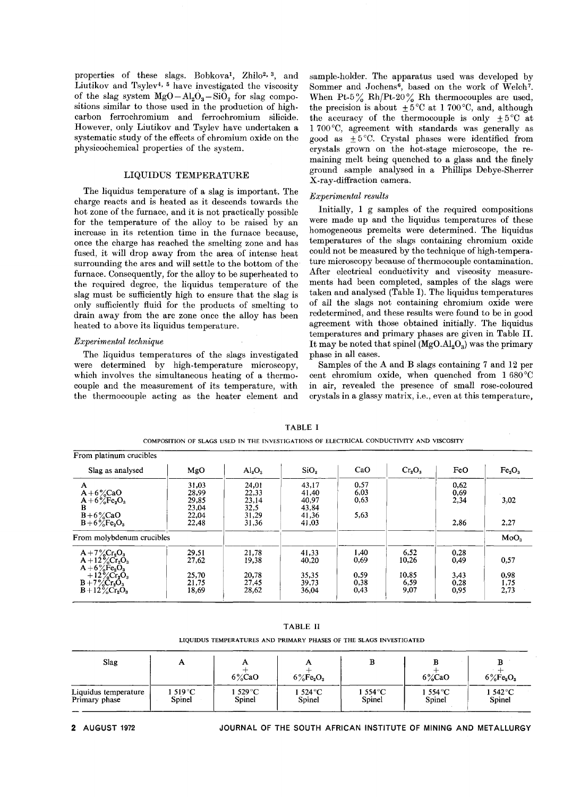properties of these slags. Bobkova<sup>1</sup>, Zhilo<sup>2, 3</sup>, and Liutikov and Tsylev4, 5 have investigated the viscosity of the slag system  $MgO-Al<sub>2</sub>O<sub>3</sub> - SiO<sub>2</sub>$  for slag compositions similar to those used in the production of highcarbon ferrochromium and ferrochromium silicide. However, only Liutikov and Tsylev have undertaken a systematic study of the effects of chromium oxide on the physicochemical properties of the system.

# LIQUIDUS TEMPERATURE

The liquidus temperature of a slag is important. The charge reacts and is heated as it descends towards the hot zone of the furnace, and it is not practically possible for the temperature of the alloy to be raised by an increase in its retention time in the furnace because, once the charge has reached the smelting zone and has fused, it will drop away from the area of intense heat surrounding the arcs and will settle to the bottom of the furnace. Consequently, for the alloy to be superheated to the required degree, the liquidus temperature of the slag must be sufficiently high to ensure that the slag is only sufficiently fluid for the products of smelting to drain away from the arc zone once the alloy has been heated to above its liquidus temperature.

#### *Experimental technique*

The liquidus temperatures of the slags investigated were determined by high-temperature microscopy, which involves the simultaneous heating of a thermocouple and the measurement of its temperature, with the thermocouple acting as the heater element and sample-holder. The apparatus used was developed by Sommer and Jochens<sup>6</sup>, based on the work of Welch<sup>7</sup>. When Pt-5% Rh/Pt-20% Rh thermocouples are used, the precision is about  $\pm 5^{\circ}$ C at 1 700 °C, and, although the accuracy of the thermocouple is only  $+5^{\circ}$ C at 1 700 °C, agreement with standards was generally as good as  $\pm 5^{\circ}$ C. Crystal phases were identified from crystals grown on the hot-stage microscope, the remaining melt being quenched to a glass and the finely ground sample analysed in a Phillips Debye-Sherrer X-ray-diffraction camera.

### *Experimental results*

Initially, 1 g samples of the required compositions were made up and the liquidus temperatures of these homogeneous premelts were determined. The liquidus temperatures of the slags containing chromium oxide could not be measured by the technique of high-temperature microscopy because of thermocouple contamination. After electrical conductivity and viscosity measurements had been completed, samples of the slags were taken and analysed (Table I). The liquidus temperatures of all the slags not containing chromium oxide were redetermined, and these results were found to be in good agreement with those obtained initially. The liquidus temperatures and primary phases are given in Table lI. It may be noted that spinel  $(MgO.AI<sub>2</sub>O<sub>3</sub>)$  was the primary phase in all cases.

Samples of the A and B slags containing 7 and 12 per cent chromium oxide, when quenched from  $1680^{\circ}$ C in air, revealed the presence of small rose-coloured crystals in a glassy matrix, i.e., even at this temperature,

| From platinum crucibles                                                                                                                                                                                                                  |                                                    |                                                   |                                                    |                                      |                                        |                                      |                                |
|------------------------------------------------------------------------------------------------------------------------------------------------------------------------------------------------------------------------------------------|----------------------------------------------------|---------------------------------------------------|----------------------------------------------------|--------------------------------------|----------------------------------------|--------------------------------------|--------------------------------|
| Slag as analysed                                                                                                                                                                                                                         | MgO                                                | $\text{Al}_2\text{O}_3$                           | SiO.                                               | CaO                                  | $Cr_2O_3$                              | FeO                                  | Fe <sub>2</sub> O <sub>3</sub> |
| A<br>$A+6\%$ CaO<br>$A+6\%Fe2O3$<br>B<br>$B + 6\%$ CaO<br>$B + 6\%Fe2O3$                                                                                                                                                                 | 31,03<br>28,99<br>29,85<br>23,04<br>22,04<br>22,48 | 24,01<br>22,33<br>23,14<br>32,5<br>31,29<br>31,36 | 43,17<br>41,40<br>40,97<br>43,84<br>41.36<br>41.03 | 0,57<br>6,03<br>0.63<br>5,63         |                                        | 0,62<br>0,69<br>2,34<br>2,86         | 3,02<br>2,27                   |
| From molybdenum crucibles                                                                                                                                                                                                                |                                                    |                                                   |                                                    |                                      |                                        |                                      | MoO <sub>3</sub>               |
| $A + 7\%$ Cr <sub>2</sub> O <sub>3</sub><br>$A + 12\%$ Cr <sub>2</sub> O <sub>3</sub><br>$A+6\%Fe2O3$<br>$+12\%$ Cr <sub>2</sub> O <sub>3</sub><br>$B + 7\%$ Cr <sub>2</sub> O <sub>3</sub><br>$B + 12\%$ Cr <sub>2</sub> O <sub>3</sub> | 29,51<br>27,62<br>25,70<br>21,75<br>18,69          | 21,78<br>19,38<br>20,78<br>27,45<br>28.62         | 41,33<br>40,20<br>35,35<br>39,73<br>36,04          | 1.40<br>0.69<br>0.59<br>0,38<br>0,43 | 6,52<br>10.26<br>10.85<br>6.59<br>9.07 | 0.28<br>0,49<br>3,43<br>0.28<br>0,95 | 0,57<br>0,98<br>1,75<br>2,73   |

COMPOSITION OF SLAGS USED IN THE INVESTIGATIONS OF ELECTRICAL CONDUCTIVITY AND VISCOSITY

TABLE 11

LIQUIDUS TEMPERATURES AND PRIMARY PHASES OF THE SLAGS INVESTIGATED

| Slag                 |          | A<br>$6\%$ CaO                | A<br>$6\%Fe2O3$ |         | $6\%$ CaO                  | $6\%Fe2O3$                |
|----------------------|----------|-------------------------------|-----------------|---------|----------------------------|---------------------------|
| Liquidus temperature | 1 519 °C | 1 529 $^{\circ}$ C $^{\circ}$ | 1 524 °C        | 1 554°C | 1 554 $\mathrm{^{\circ}C}$ | 1542 $\mathrm{^{\circ}C}$ |
| Primary phase        | Spinel   | Spinel                        | Spinel          | Spinel  | Spinel                     | Spinel                    |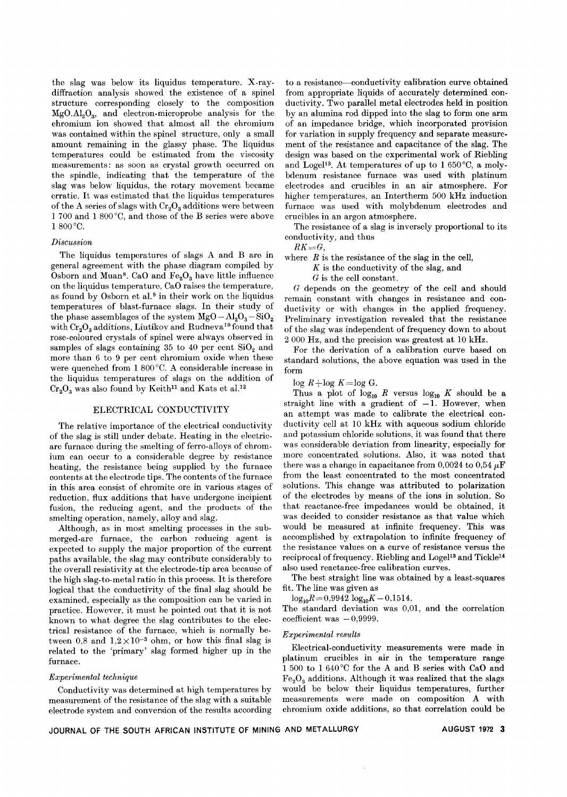the slag was below its liquidus temperature. X-raydiffraction analysis showed the existence of a spinel structure corresponding closely to the composition  $MgO.AI<sub>2</sub>O<sub>3</sub>$ , and electron-microprobe analysis for the chromium ion showed that almost all the chromium was contained within the spinel structure, only a small amount remaining in the glassy phase. The liquidus temperatures could be estimated from the viscosity measurements: as soon as crystal growth occurred on the spindle, indicating that the temperature of the slag was below liquidus, the rotary movement became erratic. It was estimated that the liquidus temperatures of the A series of slags with  $Cr_2O_3$  additions were between 1700 and 1 800°C, and those of the B series were above 1800°C.

#### *Discussion*

The liquidus temperatures of slags A and B are in general agreement with the phase diagram compiled by Osborn and Muan<sup>8</sup>. CaO and  $Fe<sub>2</sub>O<sub>3</sub>$  have little influence on the liquidus temperature, CaO raises the temperature, as found by Osborn et al.<sup>9</sup> in their work on the liquidus temperatures of blast-furnace slags. In their study of the phase assemblages of the system  $MgO - Al_2O_3 - SiO_2$ with  $Cr_2O_3$  additions, Liutikov and Rudneva<sup>10</sup> found that rose-coloured crystals of spinel were always observed in samples of slags containing 35 to 40 per cent  $SiO<sub>2</sub>$  and more than 6 to 9 per cent chromium oxide when these were quenched from 1 800°C. A considerable increase in the liquidus temperatures of slags on the addition of  $Cr<sub>2</sub>O<sub>3</sub>$  was also found by Keith<sup>11</sup> and Kats et al.<sup>12</sup>

# ELECTRICAL CONDUCTIVITY

The relative importance of the electrical conductivity of the slag is still under debate. Heating in the electricarc furnace during the smelting of ferro-alloys of chromium can occur to a considerable degree by resistance heating, the resistance being supplied by the furnace contents at the electrode tips. The contents of the furnace in this area consist of chromite ore in various stages of reduction, flux additions that have undergone incipient fusion, the reducing agent, and the products of the smelting operation, namely, alloy and slag.

Although, as in most smelting processes in the submerged-arc furnace, the carbon reducing agent is expected to supply the major proportion of the current paths available, the slag may contribute considerably to the overall resistivity at the electrode-tip area because of the high slag-to-metal ratio in this process. It is therefore logical that the conductivity of the final slag should be examined, especially as the composition can be varied in practice. However, it must be pointed out that it is not known to what degree the slag contributes to the electrical resistance of the furnace, which is normally between 0,8 and  $1.2 \times 10^{-3}$  ohm, or how this final slag is related to the 'primary' slag formed higher up in the furnace.

# *Experimental technique*

Conductivity was determined at high temperatures by measurement of the resistance of the slag with a suitable electrode system and conversion of the results according

to a resistance-conductivity calibration curve obtained from appropriate liquids of accurately determined conductivity. Two parallel metal electrodes held in position by an alumina rod dipped into the slag to form one arm of an impedance bridge, which incorporated provision for variation in supply frequency and separate measurement of the resistance and capacitance of the slag. The design was based on the experimental work of Riebling and Logel13. At temperatures of up to 1 650°C, a molybdenum resistance furnace was used with platinum electrodes and crucibles in an air atmosphere. For higher temperatures, an Intertherm 500 kHz induction furnace was used with molybdenum electrodes and crucibles in an argon atmosphere.

The resistance of a slag is inversely proportional to its conductivity, and thus

*RK=G,*

where *R* is the resistance of the slag in the cell,

*K* is the conductivity of the slag, and

*G* is the cell constant.

*G* depends on the geometry of the cell and should remain constant with changes in resistance and conductivity or with changes in the applied frequency. Preliminary investigation revealed that the resistance of the slag was independent of frequency down to about 2 000 Hz, and the precision was greatest at 10 kHz.

For the derivation of a calibration curve based on standard solutions, the above equation was used in the form

 $log R + log K = log G$ .

Thus a plot of  $log_{10} R$  versus  $log_{10} K$  should be a straight line with a gradient of  $-1$ . However, when an attempt was made to calibrate the electrical conductivity cell at 10 kHz with aqueous sodium chloride and potassium chloride solutions, it was found that there was considerable deviation from linearity, especially for more concentrated solutions. Also, it was noted that there was a change in capacitance from  $0.0024$  to  $0.54 \mu$ F from the least concentrated to the most concentrated solutions. This change was attributed to polarization of the electrodes by means of the ions in solution. So that reactance-free impedances would be obtained, it was decided to consider resistance as that value which would be measured at infinite frequency. This was accomplished by extrapolation to infinite frequency of the resistance values on a curve of resistance versus the reciprocal of frequency. Riebling and Logel<sup>13</sup> and Tickle<sup>14</sup> also used reactance-free calibration curves.

The best straight line was obtained by a least-squares fit. The line was given as

 $log_{10}R=0.9942$   $log_{10}K-0.1514$ .

The standard deviation was 0,01, and the correlation  $coefficient$  was  $-0,9999$ 

#### *Experimental results*

Electrical-conductivity measurements were made in platinum crucibles in air in the temperature range 1 500 to 1 640 °C for the A and B series with CaO and  $Fe<sub>2</sub>O<sub>3</sub>$  additions. Although it was realized that the slags would be below their liquidus temperatures, further measurements were made on composition A with chromium oxide additions, so that correlation could be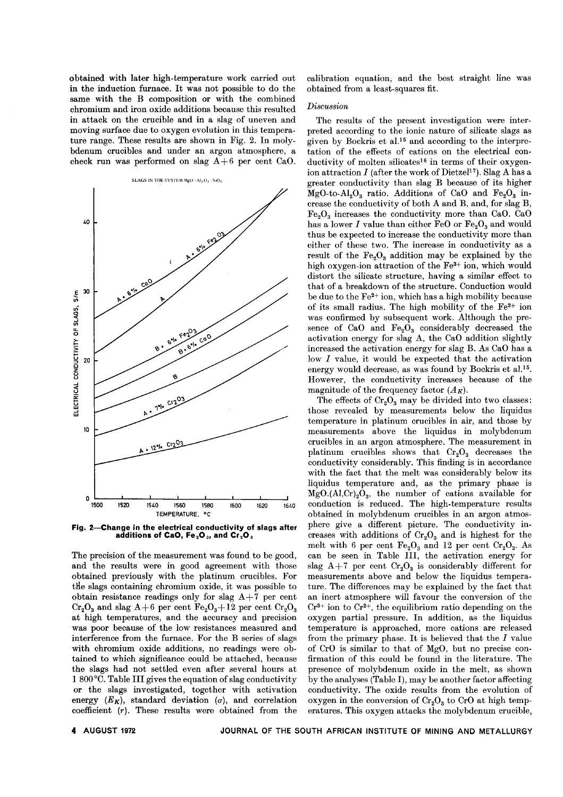obtained with later high-temperature work carried out in the induction furnace. It was not possible to do the same with the B composition or with the combined chromium and iron oxide additions because this resulted in attack on the crucible and in a slag of uneven and moving surface due to oxygen evolution in this temperature range. These results are shown in Fig. 2. In molybdenum crucibles and under an argon atmosphere, a check run was performed on slag *A+6* per cent CaO.



Fig. 2-Change in the electrical conductivity of slags after additions of CaO, Fe<sub>2</sub>O<sub>3</sub>, and Cr<sub>2</sub>O<sub>3</sub>

The precision of the measurement was found to be good, and the results were in good agreement with those obtained previously with the platinum crucibles. For the slags containing chromium oxide, it was possible to obtain resistance readings only for slag *A+7* per cent  $Cr_2O_3$  and slag  $A+6$  per cent  $Fe_2O_3+12$  per cent  $Cr_2O_3$ at high temperatures, and the accuracy and precision was poor because of the low resistances measured and interference from the furnace. For the B series of slags with chromium oxide additions, no readings were obtained to which significance could be attached, because the slags had not settled even after several hours at 1 800 °C. Table III gives the equation of slag conductivity or the slags investigated, together with activation energy  $(E_K)$ , standard deviation  $(\sigma)$ , and correlation coefficient *(r).* These results were obtained from the calibration equation; and the best straight line was obtained from a least-squares fit.

# *Discussion*

The results of the present investigation were interpreted according to the ionic nature of silicate slags as given by Bockris et al.<sup>15</sup> and according to the interpretation of the effects of cations on the electrical conductivity of molten silicates<sup>16</sup> in terms of their oxygenion attraction  $I$  (after the work of Dietzel<sup>17</sup>). Slag A has a greater conductivity than slag B because of its higher  $MgO-to-Al<sub>2</sub>O<sub>3</sub>$  ratio. Additions of CaO and Fe<sub>2</sub>O<sub>3</sub> increase the conductivity of both A and B, and, for slag B,  $Fe<sub>2</sub>O<sub>3</sub>$  increases the conductivity more than CaO. CaO has a lower  $I$  value than either FeO or  $Fe<sub>2</sub>O<sub>3</sub>$  and would thus be expected to increase the conductivity more than either of these two. The increase in conductivity as a result of the  $Fe<sub>2</sub>O<sub>3</sub>$  addition may be explained by the high oxygen-ion attraction of the Fe3+ ion, which would distort the silicate structure, having a similar effect to that of a breakdown of the structure. Conduction would be due to the  $Fe<sup>2+</sup>$  ion, which has a high mobility because of its small radius. The high mobility of the  $Fe<sup>2+</sup>$  ion was confirmed by subsequent work. Although the presence of CaO and  $Fe<sub>2</sub>O<sub>3</sub>$  considerably decreased the activation energy for slag A, the CaO addition slightly increased the activation energy for slag B. As CaO has a low *I* value, it would be expected that the activation energy would decrease, as was found by Bockris et al.<sup>15</sup>. However, the conductivity increases because of the magnitude of the frequency factor  $(A_K)$ .

The effects of  $Cr_2O_3$  may be divided into two classes: those revealed by measurements below the liquidus temperature in platinum crucibles in air, and those by measurements above the liquidus in molybdenum crucibles in an argon atmosphere. The measurement in platinum crucibles shows that  $Cr_2O_3$  decreases the conductivity considerably. This finding is in accordance with the fact that the melt was considerably below its liquidus temperature and, as the primary phase is  $MgO.(Al,Cr)<sub>2</sub>O<sub>3</sub>$ , the number of cations available for conduction is reduced. The high-temperature results obtained in molybdenum crucibles in an argon atmosphere give a different picture. The conductivity increases with additions of  $Cr_2O_3$  and is highest for the melt with 6 per cent  $Fe<sub>2</sub>O<sub>3</sub>$  and 12 per cent  $Cr<sub>2</sub>O<sub>3</sub>$ . As can be seen in Table Ill, the activation energy for slag  $A+7$  per cent  $Cr_2O_3$  is considerably different for measurements above and below the liquidus temperature. The differences may be explained by the fact that an inert atmosphere will favour the conversion of the  $Cr^{3+}$  ion to  $Cr^{2+}$ , the equilibrium ratio depending on the oxygen partial pressure. In addition, as the liquidus temperature is approached, more cations are released from the primary phase. It is believed that the *I* value of CrO is similar to that of MgO, but no precise confirmation of this could be found in the literature. The presence of molybdenum oxide in the melt, as shown by the analyses (Table I), may be another factor affecting conductivity. The oxide results from the evolution of oxygen in the conversion of  $Cr_2O_3$  to  $CrO$  at high temperatures. This oxygen attacks the molybdenum crucible,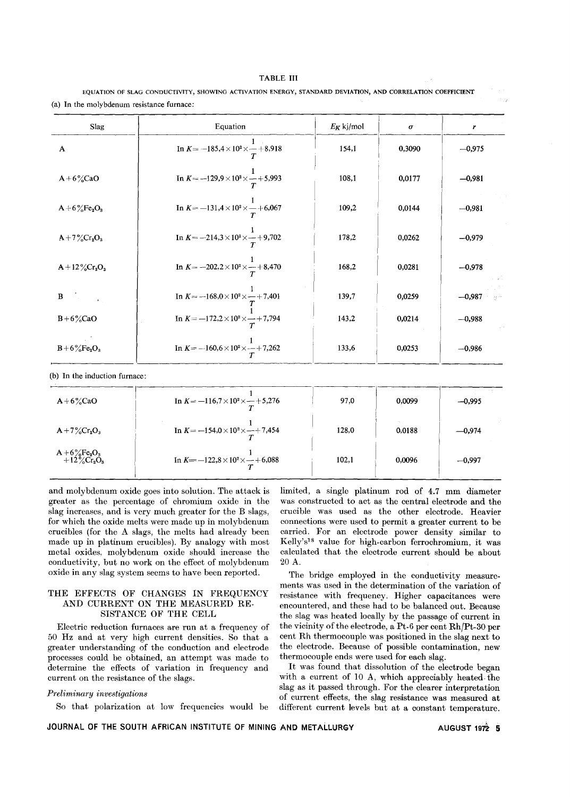|                                           | EOUATION OF SLAG CONDUCTIVITY, SHOWING ACTIVATION ENERGY, STANDARD DEVIATION, AND CORRELATION COEFFICIENT |
|-------------------------------------------|-----------------------------------------------------------------------------------------------------------|
| (a) In the molvbdenum resistance furnace: |                                                                                                           |

| <b>Slag</b>                                  | Equation                                                 | $E_K$ kj/mol | $\pmb{\sigma}$ | r        |  |
|----------------------------------------------|----------------------------------------------------------|--------------|----------------|----------|--|
| A                                            | In $K = -185.4 \times 10^2 \times  + 8.918$              | 154,1        | 0,3090         | $-0,975$ |  |
| $A+6\%$ CaO                                  | In $K = -129.9 \times 10^2 \times \frac{1}{T} + 5.993$   | 108,1        | 0,0177         | $-0,981$ |  |
| $A + 6\%Fe2O3$                               | In $K = -131.4 \times 10^2 \times \frac{1}{T} + 6.067$   | 109,2        | 0.0144         | $-0,981$ |  |
| $A + 7\%$ Cr <sub>2</sub> O <sub>3</sub>     | In $K = -214.3 \times 10^2 \times \frac{1}{T} + 9.702$   | 178,2        | 0,0262         | $-0,979$ |  |
| $A + 12\%$ Cr <sub>2</sub> O <sub>3</sub>    | In $K = -202.2 \times 10^2 \times \frac{1}{T} + 8.470$   | 168,2        | 0,0281         | $-0,978$ |  |
| B                                            | In $K = -168.0 \times 10^2 \times - +7.401$              | 139,7        | 0,0259         | $-0,987$ |  |
| $B + 6\%$ CaO                                | In $K = -172.2 \times 10^2 \times \frac{1}{T} + 7.794$   | 143,2        | 0,0214         | $-0,988$ |  |
| $B + 6\%Fe2O3$                               | In $K = -160.6 \times 10^2 \times \frac{1}{T} + 7,262$   | 133,6        | 0,0253         | $-0,986$ |  |
| (b) In the induction furnace:                |                                                          |              |                |          |  |
| $A+6\%$ CaO                                  | In $K = -116.7 \times 10^2 \times \frac{1}{T} + 5.276$   | 97,0         | 0,0099         | $-0,995$ |  |
| $A + 7\%$ Cr <sub>2</sub> O <sub>3</sub>     | In $K = -154.0 \times 10^{2} \times \frac{1}{T} + 7.454$ | 128,0        | 0,0188         | $-0,974$ |  |
| $\substack{A + 6\%Fe_2O_3 \\ + 12\%Cr_2O_3}$ | In $K = -122.8 \times 10^2 \times  + 6.088$              | 102,1        | 0,0096         | $-0,997$ |  |

and molybdenum oxide goes into solution. The attack is greater as the percentage of chromium oxide in the slag increases, and is very much greater for the B slags, for which the oxide melts were made up in molybdenum crucibles (for the A slags, the melts had already been made up in platinum crucibles). By analogy with most metal oxides, molybdenum oxide should increase the conductivity, but no work on the effect of molybdenum oxide in any slag system seems to have been reported.

# THE EFFECTS OF CHANGES IN FREQUENCY AND CURRENT ON THE MEASURED RE-SISTANCE OF THE CELL

Electric reduction furnaces are run at a frequency of 50 Hz and at very high current densities. So that a greater understanding of the conduction and electrode processes could be obtained, an attempt was made to determine the effects of variation in frequency and current on the resistance of the slags.

# *Preliminary investigations*

So that polarization at low frequencies would be

limited, a single platinum rod of 4.7 mm diameter was constructed to act as the central electrode and the crucible was used as the other electrode. Heavier connections were used to permit a greater current to be carried. For an electrode power density similar to Kelly's18 value for high-carbon ferrochromium, it was calculated that the electrode current should be about 20 A.

The bridge employed in the conductivity measurements was used in the determination of the variation of resistance with frequency. Higher capacitances were encountered, and these had to be balanced out. Because the slag was heated locally by the passage of current in the vicinity of the electrode, a Pt-6 per cent *RhjPt-30* per cent Rh thermocouple was positioned in the slag next to the electrode. Because of possible contamination, new thermocouple ends were used for each slag.

It was found that dissolution of the electrode began with a current of 10 A, which appreciably heated. the slag as it passed through. For the clearer interpretation of current effects, the slag resistance was measured at different current levels but at a constant temperature.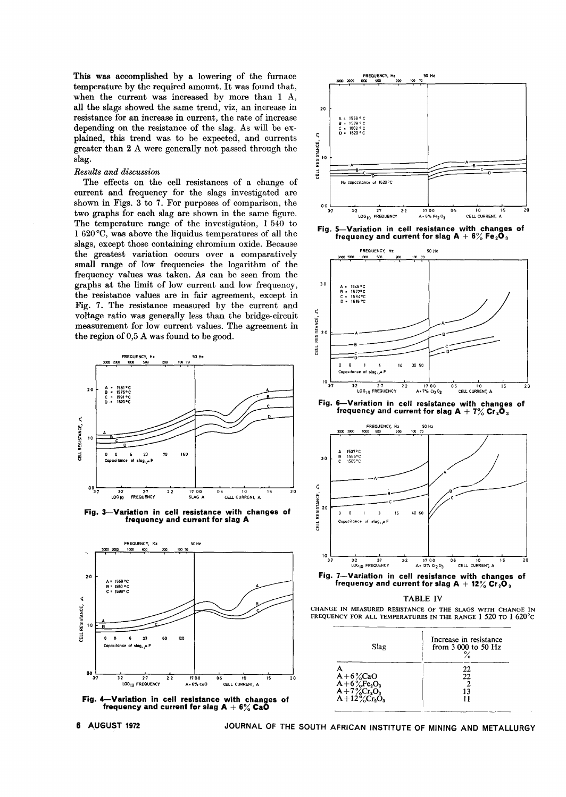This was accomplished by a lowering of the furnace temperature by the required amount. It was found that, when the current was increased by more than 1 A, all the slags showed the same trend, viz, an increase in resistance for an increase in current, the rate of increase depending on the resistance of the slag. As will be explained, this trend was to be expected, and currents greater than 2 A were generally not passed through the slag.

# *Results and discussion*

The effects on the cell resistances of a change of current and frequency for the slags investigated are shown in Figs. 3 to 7. For purposes of comparison, the two graphs for each slag are shown in the same figure. The temperature range of the investigation, 1 540 to 1 620°0, was above the liquidus temperatures of all the slags, except those containing chromium oxide. Because the greatest variation occurs over a comparatively small range of low frequencies the logarithm of the frequency values was taken. As can be seen from the graphs at the limit of low current and low frequency, the resistance values are in fair agreement, except in Fig. 7. The resistance measured by the current and voltage ratio was generally less than the bridge-circuit measurement for low current values. The agreement in the region of 0,5 A was found to be good.



Fig. 3-Variation in cell resistance with changes of frequency and current for slag A



Fig. 4—Variation in cell resistance with changes of<br>frequency and current for slag A  $+6\%$  CaO



Fig, 5-Variation in cell resistance with changes of frequency and current for slag A  $+$  6% Fe $_{2}$ C



3-7 3-2 2-7 2-2 1-7-0-0 0-5 1-0 1-5<br>LOG<sub>IO</sub>FREQUENCY A+-12%-Cr<sub>2</sub>-0<sub>3</sub> CELL\_CURRENT, A A, 12% C'2 °3 CELL CURREN, <sup>A</sup> 32 27 20 Fig. 7-Variation in cell resistance with changes of frequency and current for slag  $A + 12\%$  Cr<sub>2</sub>O<sub>3</sub>

#### TABLE IV





JOURNAL OF THE SOUTH AFRICAN INSTITUTE OF MINING AND METALLURGY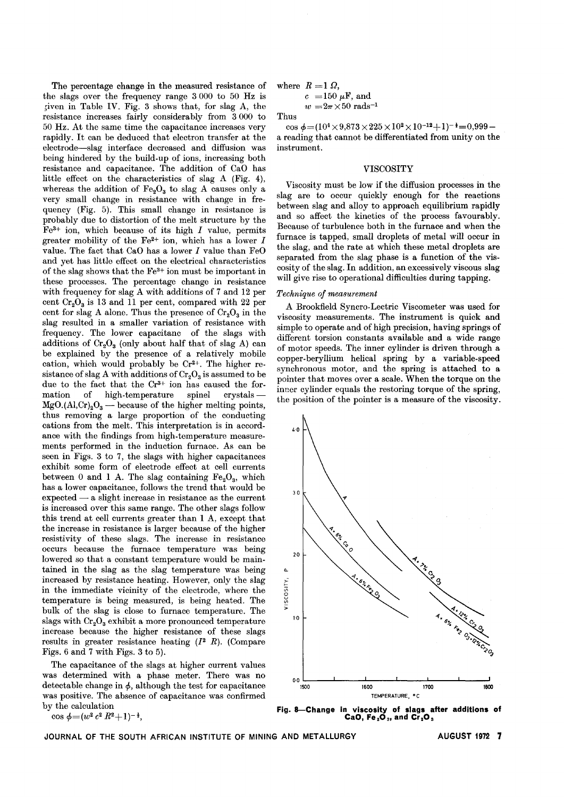The percentage change in the measured resistance of the slags over the frequency range 3 000 to 50 Hz is ;iven in Table IV. Fig. 3 shows that, for slag A, the resistance increases fairly considerably from 3000 to 50 Hz. At the same time the capacitance increases very rapidly. It can be deduced that electron transfer at the electrode-slag interface decreased and diffusion was being hindered by the build-up of ions, increasing both resistance and capacitance. The addition of CaO has little effect on the characteristics of slag A (Fig. 4), whereas the addition of  $Fe<sub>2</sub>O<sub>3</sub>$  to slag A causes only a very small change in resistance with change in frequency (Fig. 5). This small change in resistance is probably due to distortion of the melt structure by the  $Fe<sup>3+</sup>$  ion, which because of its high  $I$  value, permits greater mobility of the Fe<sup>2+</sup> ion, which has a lower  $I$ value. The fact that CaO has a lower  $I$  value than FeO and yet has little effect on the electrical characteristics of the slag shows that the Fe3+ ion must be important in these processes. The percentage change in resistance with frequency for slag A with additions of 7 and 12 per cent  $Cr_2O_3$  is 13 and 11 per cent, compared with 22 per cent for slag A alone. Thus the presence of  $Cr_2O_3$  in the slag resulted in a smaller variation of resistance with frequency. The lower capacitanc of the slags with additions of  $Cr_2O_3$  (only about half that of slag A) can be explained by the presence of a relatively mobile cation, which would probably be Cr2+. The higher resistance of slag A with additions of  $Cr_2O_3$  is assumed to be due to the fact that the Cr<sup>3+</sup> ion has caused the formation of high-temperature spinel crystals - $MgO.(Al,Cr)<sub>2</sub>O<sub>3</sub>$  - because of the higher melting points, thus removing a large proportion of the conducting cations from the melt. This interpretation is in accordance with the findings from high-temperature measurements performed in the induction furnace. As can be seen in Figs. 3 to 7, the slags with higher capacitances exhibit some form of electrode effect at cell currents between 0 and 1 A. The slag containing  $Fe<sub>2</sub>O<sub>3</sub>$ , which has a lower capacitance, follows the trend that would be  $\operatorname{expected}-\operatorname{a}$  slight increase in resistance as the curren is increased over this same range. The other slags follow this trend at cell currents greater than 1 A, except that the increase in resistance is larger because of the higher resistivity of these slags. The increase in resistance occurs because the furnace temperature was being lowered so that a constant temperature would be maintained in the slag as the slag temperature was being increased by resistance heating. However, only the slag in the immediate vicinity of the electrode, where the temperature is being measured, is being heated. The bulk of the slag is close to furnace temperature. The slags with  $Cr_2O_3$  exhibit a more pronounced temperature increase because the higher resistance of these slags results in greater resistance heating (12 *R).* (Compare Figs. 6 and 7 with Figs. 3 to 5).

The capacitance of the slags at higher current values was determined with a phase meter. There was no detectable change in  $\phi$ , although the test for capacitan was positive. The absence of capacitance was confirmed by the calculation

cos  $\phi=(w^2 c^2 R^2+1)^{-\frac{1}{2}}$ ,

where  $R = 1 \Omega$ ,

$$
c = 150 \,\mu\text{F, and}
$$
  

$$
w = 2\pi \times 50 \text{ rads}^{-1}
$$

Thus

cos  $\phi = (10^4 \times 9.873 \times 225 \times 10^2 \times 10^{-12} + 1)^{-1} = 0.999$ a reading that cannot be differentiated from unity on the instrument.

### VISCOSITY

Viscosity must be low if the diffusion processes in the slag are to occur quickly enough for the reactions between slag and alloy to approach equilibrium rapidly and so affect the kinetics of the process favourably. Because of turbulence both in the furnace and when the furnace is tapped, small droplets of metal will occur in the slag, and the rate at which these metal droplets are separated from the slag phase is a function of the viscosity of the slag. In addition, an excessively viscous slag will give rise to operational difficulties during tapping.

# *Technique of measurement*

A Brookfield Syncro-Lectric Viscometer was used for viscosity measurements. The instrument is quick and simple to operate and of high precision, having springs of different torsion constants available and a wide range of motor speeds. The inner cylinder is driven through a copper-beryllium helical spring by a variable-speed synchronous motor, and the spring is attached to a pointer that moves over a scale. When the torque on the inner cylinder equals the restoring torque of the spring, the position of the pointer is a measure of the viscosity.



Fig. 8-Change in viscosity of slags after additions of CaO, Fe $_{2}$ O $_{3}$ , and Cr $_{2}$ O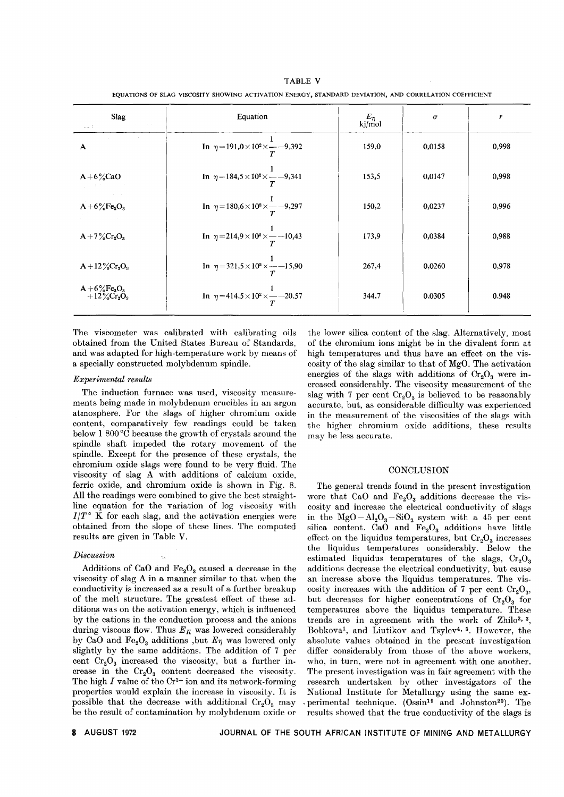| <b>Slag</b><br>Arrest Made<br>$-1$                       | Equation                                                   | $E_{\eta}$<br>kj/mol | σ      | r     |
|----------------------------------------------------------|------------------------------------------------------------|----------------------|--------|-------|
| A                                                        | In $\eta = 191.0 \times 10^2 \times \frac{1}{T}$ -9.392    | 159,0                | 0,0158 | 0,998 |
| $A+6\%$ CaO                                              | In $\eta = 184.5 \times 10^{2} \times \frac{1}{T} - 9.341$ | 153,5                | 0,0147 | 0,998 |
| $A + 6\%Fe2O3$                                           | In $\eta = 180.6 \times 10^2 \times \frac{1}{T} - 9.297$   | 150,2                | 0,0237 | 0,996 |
| $A + 7\%$ Cr <sub>2</sub> O <sub>3</sub>                 | In $\eta = 214.9 \times 10^2 \times \frac{1}{T} - 10.43$   | 173,9                | 0,0384 | 0,988 |
| $A + 12\%$ Cr <sub>2</sub> O <sub>3</sub>                | In $\eta = 321.5 \times 10^2 \times \frac{1}{T}$ -15,90    | 267,4                | 0,0260 | 0,978 |
| $A + 6\%Fe2O3$<br>$+12\%$ Cr <sub>2</sub> O <sub>3</sub> | In $\eta = 414.5 \times 10^2 \times \frac{1}{T}$ -20.57    | 344,7                | 0,0305 | 0,948 |

EQUATIONS OF SLAG VISCOSITY SHOWING ACTIVATION ENERGY, STANDARD DEVIATION, AND CORRELATION COEFFICIENT TABLE V

The viscometer was calibrated with calibrating oils obtained from the United States Bureau of Standards, and was adapted for high-temperature work by means of a specially constructed molybdenum spindle.

# *Experimental results*

The induction furnace was used, viscosity measurements being made in molybdenum crucibles in an argon atmosphere. For the slags of higher chromium oxide content, comparatively few readings could be taken below 1 800 °C because the growth of crystals around the spindle shaft impeded the rotary movement of the spindle. Except for the presence of these crystals, the chromium oxide slags were found to be very fluid. The viscosity of slag A with additions of calcium oxide, ferric oxide, and chromium oxide is shown in Fig. 8. All the readings were combined to give the best straightline equation for the variation of log viscosity with  $I/T$ <sup>o</sup> K for each slag, and the activation energies were obtained from the slope of these lines. The computed results are given in Table V.

# *Discussion*

Additions of CaO and  $Fe<sub>2</sub>O<sub>3</sub>$  caused a decrease in the viscosity of slag A in a manner similar to that when the conductivity is increased as a result of a further breakup of the melt structure. The greatest effect of these additions was on the activation energy, which is influenced by the cations in the conduction process and the anions during viscous flow. Thus  $E_K$  was lowered considerably by CaO and  $Fe<sub>2</sub>O<sub>3</sub>$  additions ,but  $E<sub>7</sub>$  was lowered only slightly by the same additions. The addition of 7 per cent  $Cr_2O_3$  increased the viscosity, but a further increase in the  $Cr_2O_3$  content decreased the viscosity. The high  $I$  value of the  $Cr^{3+}$  ion and its network-forming properties would explain the increase in viscosity. It is possible that the decrease with additional  $Cr_2O_3$  may be the result of contamination by molybdenum oxide or the lower silica content of the slag. Alternatively, most of the chromium ions might be in the divalent form at high temperatures and thus have an effect on the viscosity of the slag similar to that of MgO. The activation energies of the slags with additions of  $Cr_2O_3$  were increased considerably. The viscosity measurement of the slag with 7 per cent  $Cr_2O_3$  is believed to be reasonably accurate, but, as considerable difficulty was experienced in the measurement of the viscosities of the slags with the higher chromium oxide additions, these results may be less accurate.

#### **CONCLUSION**

The general trends found in the present investigation were that CaO and  $Fe<sub>2</sub>O<sub>3</sub>$  additions decrease the viscosity and increase the electrical conductivity of slags in the  $MgO - Al_2O_3 - SiO_2$  system with a 45 per cent silica content. CaO and  $Fe<sub>2</sub>O<sub>3</sub>$  additions have little effect on the liquidus temperatures, but  $Cr_2O_3$  increases the liquidus temperatures considerably. Below the estimated liquidus temperatures of the slags,  $Cr_2O_3$ additions decrease the electrical conductivity, but cause an increase above the liquidus temperatures. The viscosity increases with the addition of 7 per cent  $Cr_2O_3$ , but decreases for higher concentrations of  $Cr_2O_3$  for temperatures above the liquidus temperature. These trends are in agreement with the work of  $\mathbb{Z}$ hilo<sup>2, 3</sup>, Bobkoval, and Liutikov and Tsylev4, 5. However, the absolute values obtained in the present investigation differ considerably from those of the above workers, who, in turn, were not in agreement with one another. The present investigation was in fair agreement with the research undertaken by other investigators of the National Institute for Metallurgy using the same ex perimental technique. (Ossin<sup>19</sup> and Johnston<sup>20</sup>). The results showed that the true conductivity of the slags is